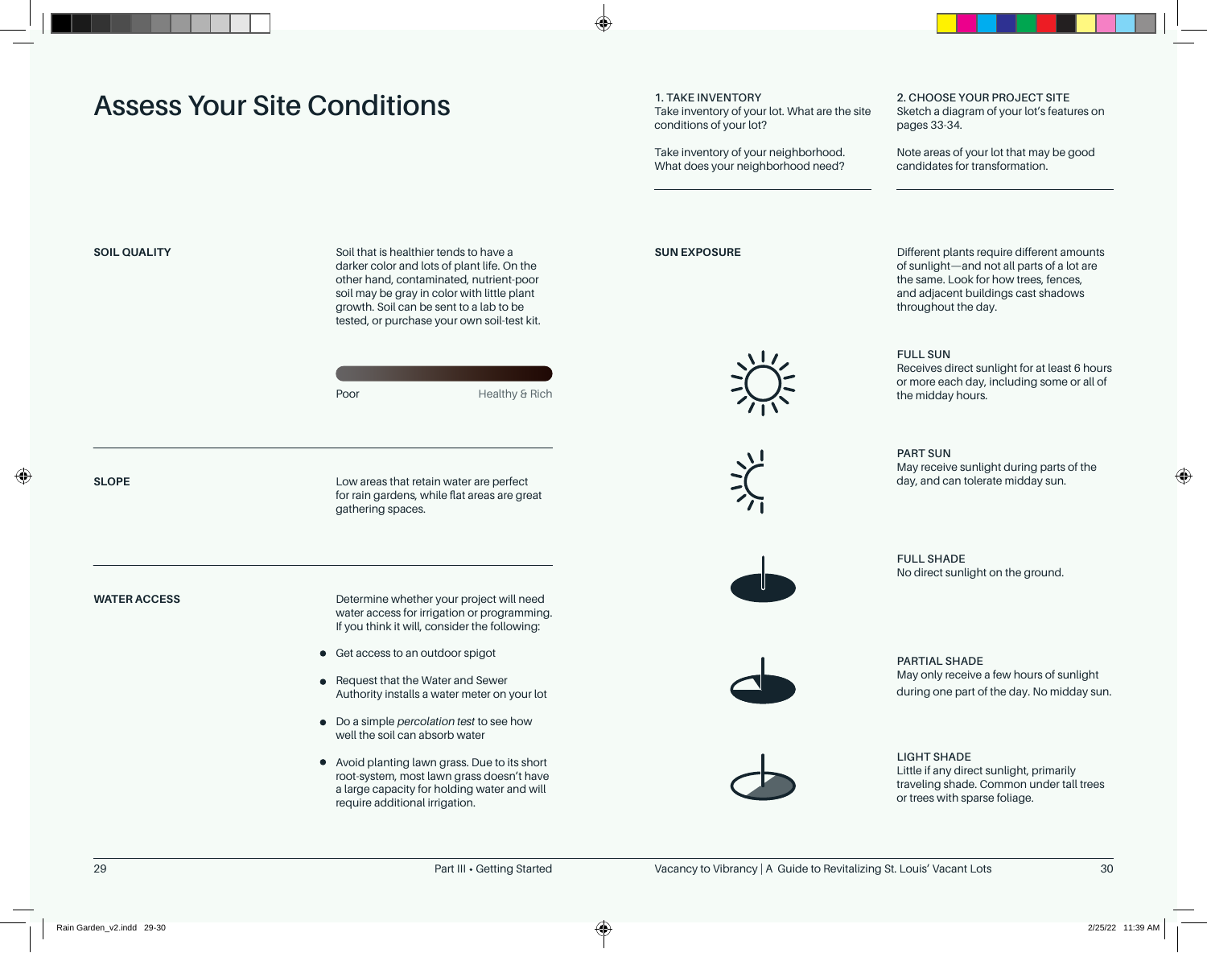## **Assess Your Site Conditions**

#### **1. TAKE INVENTORY**

Take inventory of your lot. What are the site conditions of your lot?

Take inventory of your neighborhood. What does your neighborhood need? **2. CHOOSE YOUR PROJECT SITE** Sketch a diagram of your lot's features on pages 33-34.

Note areas of your lot that may be good candidates for transformation.

**SOIL QUALITY SUIL SUIL TEEL SOIL** TO SOIL that is healthier tends to have a **SUIL GUALITY SUIL EXPOSURE** darker color and lots of plant life. On the other hand, contaminated, nutrient-poor soil may be gray in color with little plant growth. Soil can be sent to a lab to be tested, or purchase your own soil-test kit.

| Poor | Healthy & Rich |
|------|----------------|

**SLOPE**

Low areas that retain water are perfect for rain gardens, while flat areas are great gathering spaces.

**WATER ACCESS**

Determine whether your project will need water access for irrigation or programming. If you think it will, consider the following:

- Get access to an outdoor spigot
- Request that the Water and Sewer Authority installs a water meter on your lot
- Do a simple *percolation test* to see how well the soil can absorb water
- Avoid planting lawn grass. Due to its short root-system, most lawn grass doesn't have a large capacity for holding water and will require additional irrigation.







Different plants require different amounts of sunlight—and not all parts of a lot are the same. Look for how trees, fences, and adjacent buildings cast shadows throughout the day.

### **FULL SUN**

Receives direct sunlight for at least 6 hours or more each day, including some or all of the midday hours.

**PART SUN** May receive sunlight during parts of the day, and can tolerate midday sun.

**FULL SHADE** No direct sunlight on the ground.



**PARTIAL SHADE** May only receive a few hours of sunlight during one part of the day. No midday sun.



**LIGHT SHADE** Little if any direct sunlight, primarily traveling shade. Common under tall trees or trees with sparse foliage.